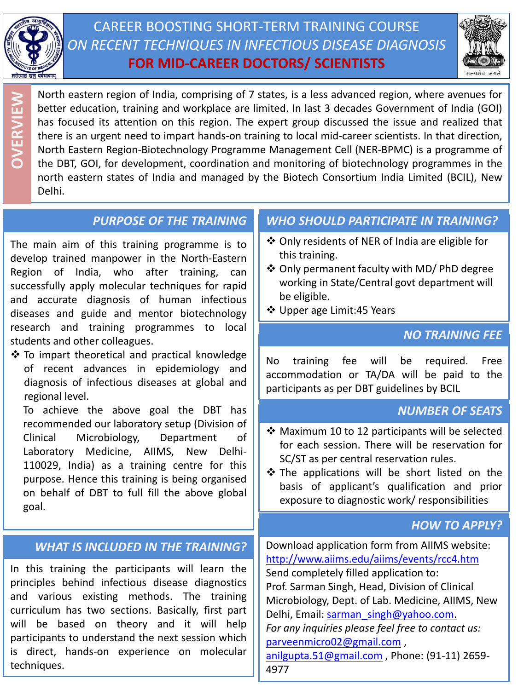

CAREER BOOSTING SHORT-TERM TRAINING COURSE *ON RECENT TECHNIQUES IN INFECTIOUS DISEASE DIAGNOSIS* **FOR MID-CAREER DOCTORS/ SCIENTISTS**



North eastern region of India, comprising of 7 states, is a less advanced region, where avenues for better education, training and workplace are limited. In last 3 decades Government of India (GOI) has focused its attention on this region. The expert group discussed the issue and realized that there is an urgent need to impart hands-on training to local mid-career scientists. In that direction, North Eastern Region-Biotechnology Programme Management Cell (NER-BPMC) is a programme of the DBT, GOI, for development, coordination and monitoring of biotechnology programmes in the north eastern states of India and managed by the Biotech Consortium India Limited (BCIL), New Delhi. **OVERVIEW**

## *PURPOSE OF THE TRAINING*

The main aim of this training programme is to develop trained manpower in the North-Eastern Region of India, who after training, can successfully apply molecular techniques for rapid and accurate diagnosis of human infectious diseases and guide and mentor biotechnology research and training programmes to local students and other colleagues.

 $\cdot$  To impart theoretical and practical knowledge of recent advances in epidemiology and diagnosis of infectious diseases at global and regional level.

To achieve the above goal the DBT has recommended our laboratory setup (Division of Clinical Microbiology, Department of Laboratory Medicine, AIIMS, New Delhi-110029, India) as a training centre for this purpose. Hence this training is being organised on behalf of DBT to full fill the above global goal.

## *WHAT IS INCLUDED IN THE TRAINING?*

In this training the participants will learn the principles behind infectious disease diagnostics and various existing methods. The training curriculum has two sections. Basically, first part will be based on theory and it will help participants to understand the next session which is direct, hands-on experience on molecular techniques.

# *WHO SHOULD PARTICIPATE IN TRAINING?*

- Only residents of NER of India are eligible for this training.
- ❖ Only permanent faculty with MD/ PhD degree working in State/Central govt department will be eligible.
- ❖ Upper age Limit:45 Years

## *NO TRAINING FEE*

No training fee will be required. Free accommodation or TA/DA will be paid to the participants as per DBT guidelines by BCIL

## *NUMBER OF SEATS*

- Maximum 10 to 12 participants will be selected for each session. There will be reservation for SC/ST as per central reservation rules.
- $\hat{\mathbf{v}}$  The applications will be short listed on the basis of applicant's qualification and prior exposure to diagnostic work/ responsibilities

## *HOW TO APPLY?*

Download application form from AIIMS website: <http://www.aiims.edu/aiims/events/rcc4.htm> Send completely filled application to: Prof. Sarman Singh, Head, Division of Clinical Microbiology, Dept. of Lab. Medicine, AIIMS, New Delhi, Email: [sarman\\_singh@yahoo.com](mailto:sarman_singh@yahoo.com). *For any inquiries please feel free to contact us:*  [parveenmicro02@gmail.com](mailto:parveenmicro02@gmail.com) , [anilgupta.51@gmail.com](mailto:anilgupta.51@gmail.com) , Phone: (91-11) 2659- 4977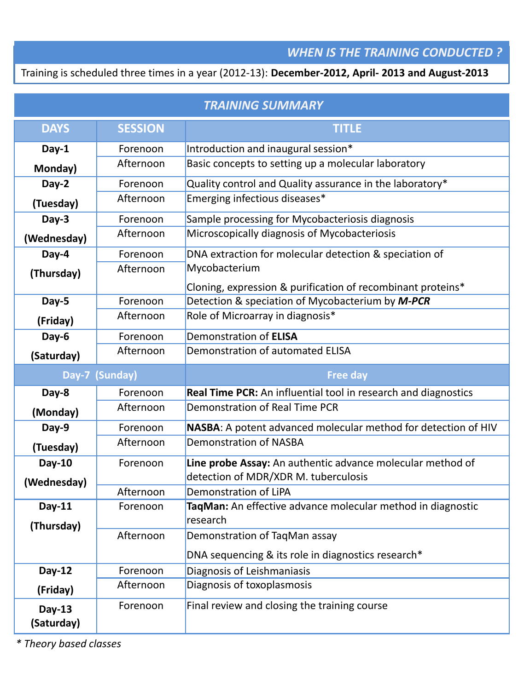### *WHEN IS THE TRAINING CONDUCTED ?*

Training is scheduled three times in a year (2012-13): **December-2012, April- 2013 and August-2013** 

| <b>TRAINING SUMMARY</b> |                                                                    |                                                                |  |  |  |
|-------------------------|--------------------------------------------------------------------|----------------------------------------------------------------|--|--|--|
| <b>DAYS</b>             | <b>SESSION</b>                                                     | <b>TITLE</b>                                                   |  |  |  |
| Day-1                   | Forenoon                                                           | Introduction and inaugural session*                            |  |  |  |
| Monday)                 | Afternoon                                                          | Basic concepts to setting up a molecular laboratory            |  |  |  |
| Day-2                   | Forenoon                                                           | Quality control and Quality assurance in the laboratory*       |  |  |  |
| (Tuesday)               | Afternoon                                                          | Emerging infectious diseases*                                  |  |  |  |
| Day-3<br>Forenoon       |                                                                    | Sample processing for Mycobacteriosis diagnosis                |  |  |  |
| (Wednesday)             | Afternoon                                                          | Microscopically diagnosis of Mycobacteriosis                   |  |  |  |
| Day-4                   | DNA extraction for molecular detection & speciation of<br>Forenoon |                                                                |  |  |  |
| (Thursday)              | Afternoon                                                          | Mycobacterium                                                  |  |  |  |
|                         |                                                                    | Cloning, expression & purification of recombinant proteins*    |  |  |  |
| Day-5                   | Forenoon                                                           | Detection & speciation of Mycobacterium by M-PCR               |  |  |  |
| (Friday)                | Afternoon                                                          | Role of Microarray in diagnosis*                               |  |  |  |
| Day-6                   | Forenoon                                                           | Demonstration of ELISA                                         |  |  |  |
| (Saturday)              | Afternoon                                                          | Demonstration of automated ELISA                               |  |  |  |
| Day-7 (Sunday)          |                                                                    |                                                                |  |  |  |
|                         |                                                                    | <b>Free day</b>                                                |  |  |  |
| Day-8                   | Forenoon                                                           | Real Time PCR: An influential tool in research and diagnostics |  |  |  |
| (Monday)                | Afternoon                                                          | Demonstration of Real Time PCR                                 |  |  |  |
| Day-9                   | Forenoon                                                           | NASBA: A potent advanced molecular method for detection of HIV |  |  |  |
| (Tuesday)               | Afternoon                                                          | <b>Demonstration of NASBA</b>                                  |  |  |  |
| <b>Day-10</b>           | Forenoon                                                           | Line probe Assay: An authentic advance molecular method of     |  |  |  |
|                         |                                                                    | detection of MDR/XDR M. tuberculosis                           |  |  |  |
| (Wednesday)             | Afternoon                                                          | Demonstration of LiPA                                          |  |  |  |
| Day-11                  | Forenoon                                                           | TaqMan: An effective advance molecular method in diagnostic    |  |  |  |
| (Thursday)              |                                                                    | research                                                       |  |  |  |
|                         | Afternoon                                                          | Demonstration of TaqMan assay                                  |  |  |  |
|                         |                                                                    | DNA sequencing & its role in diagnostics research*             |  |  |  |
| Day-12                  | Forenoon                                                           | Diagnosis of Leishmaniasis                                     |  |  |  |
| (Friday)                | Afternoon                                                          | Diagnosis of toxoplasmosis                                     |  |  |  |

*\* Theory based classes*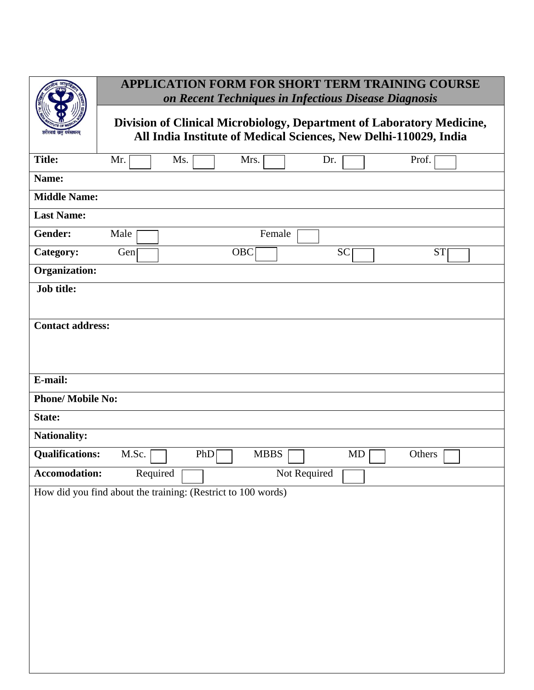|                          | APPLICATION FORM FOR SHORT TERM TRAINING COURSE<br>on Recent Techniques in Infectious Disease Diagnosis                                   |           |  |  |  |  |  |
|--------------------------|-------------------------------------------------------------------------------------------------------------------------------------------|-----------|--|--|--|--|--|
| घर्मसाधनम                | Division of Clinical Microbiology, Department of Laboratory Medicine,<br>All India Institute of Medical Sciences, New Delhi-110029, India |           |  |  |  |  |  |
| <b>Title:</b>            | Mrs.<br>Dr.<br>Mr.<br>Ms.                                                                                                                 | Prof.     |  |  |  |  |  |
| Name:                    |                                                                                                                                           |           |  |  |  |  |  |
| <b>Middle Name:</b>      |                                                                                                                                           |           |  |  |  |  |  |
| <b>Last Name:</b>        |                                                                                                                                           |           |  |  |  |  |  |
| Gender:                  | Female<br>Male                                                                                                                            |           |  |  |  |  |  |
| Category:                | OBC<br><b>SC</b><br>Gen                                                                                                                   | <b>ST</b> |  |  |  |  |  |
| <b>Organization:</b>     |                                                                                                                                           |           |  |  |  |  |  |
| <b>Job title:</b>        |                                                                                                                                           |           |  |  |  |  |  |
| <b>Contact address:</b>  |                                                                                                                                           |           |  |  |  |  |  |
| E-mail:                  |                                                                                                                                           |           |  |  |  |  |  |
| <b>Phone/ Mobile No:</b> |                                                                                                                                           |           |  |  |  |  |  |
| State:                   |                                                                                                                                           |           |  |  |  |  |  |
| <b>Nationality:</b>      |                                                                                                                                           |           |  |  |  |  |  |
| <b>Qualifications:</b>   | M.Sc.<br><b>MBBS</b><br>PhD<br>MD                                                                                                         | Others    |  |  |  |  |  |
| Accomodation:            | Required<br>Not Required                                                                                                                  |           |  |  |  |  |  |
|                          | How did you find about the training: (Restrict to 100 words)                                                                              |           |  |  |  |  |  |
|                          |                                                                                                                                           |           |  |  |  |  |  |
|                          |                                                                                                                                           |           |  |  |  |  |  |
|                          |                                                                                                                                           |           |  |  |  |  |  |
|                          |                                                                                                                                           |           |  |  |  |  |  |
|                          |                                                                                                                                           |           |  |  |  |  |  |
|                          |                                                                                                                                           |           |  |  |  |  |  |
|                          |                                                                                                                                           |           |  |  |  |  |  |
|                          |                                                                                                                                           |           |  |  |  |  |  |
|                          |                                                                                                                                           |           |  |  |  |  |  |